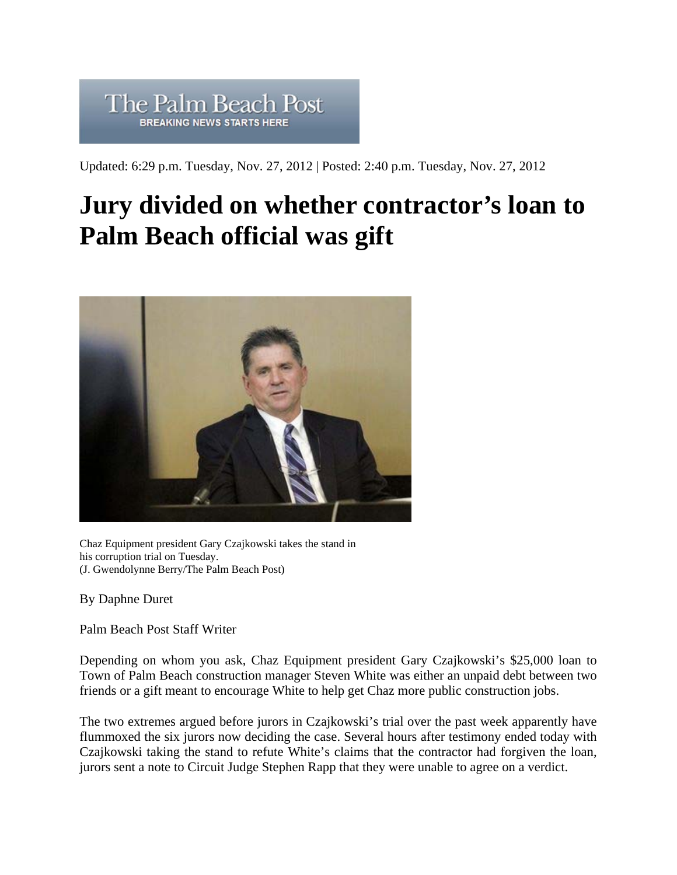## The Palm Beach Post **BREAKING NEWS STARTS HERE**

Updated: 6:29 p.m. Tuesday, Nov. 27, 2012 | Posted: 2:40 p.m. Tuesday, Nov. 27, 2012

## **Jury divided on whether contractor's loan to Palm Beach official was gift**



Chaz Equipment president Gary Czajkowski takes the stand in his corruption trial on Tuesday. (J. Gwendolynne Berry/The Palm Beach Post)

By Daphne Duret

Palm Beach Post Staff Writer

Depending on whom you ask, Chaz Equipment president Gary Czajkowski's \$25,000 loan to Town of Palm Beach construction manager Steven White was either an unpaid debt between two friends or a gift meant to encourage White to help get Chaz more public construction jobs.

The two extremes argued before jurors in Czajkowski's trial over the past week apparently have flummoxed the six jurors now deciding the case. Several hours after testimony ended today with Czajkowski taking the stand to refute White's claims that the contractor had forgiven the loan, jurors sent a note to Circuit Judge Stephen Rapp that they were unable to agree on a verdict.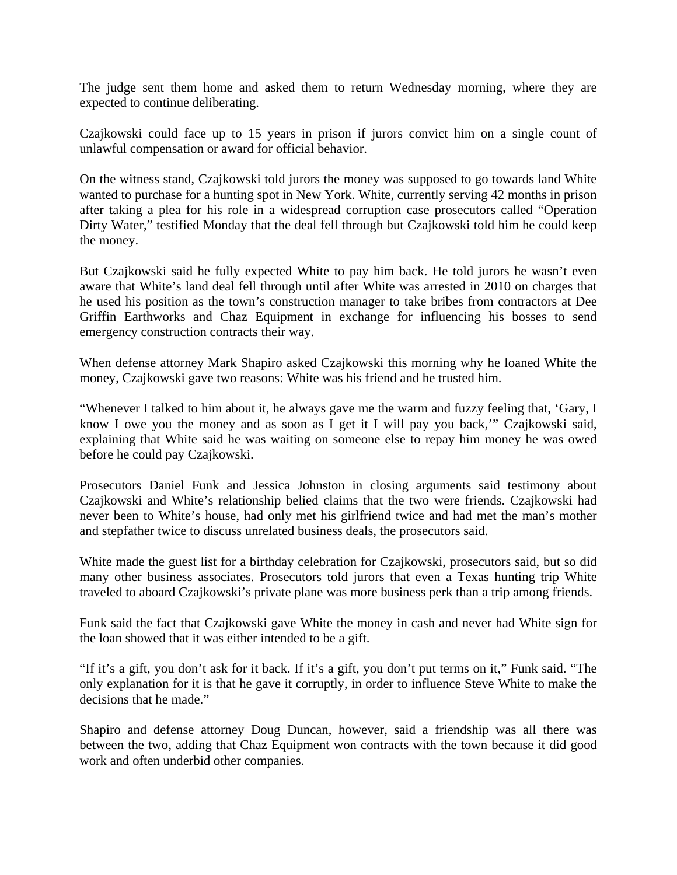The judge sent them home and asked them to return Wednesday morning, where they are expected to continue deliberating.

Czajkowski could face up to 15 years in prison if jurors convict him on a single count of unlawful compensation or award for official behavior.

On the witness stand, Czajkowski told jurors the money was supposed to go towards land White wanted to purchase for a hunting spot in New York. White, currently serving 42 months in prison after taking a plea for his role in a widespread corruption case prosecutors called "Operation Dirty Water," testified Monday that the deal fell through but Czajkowski told him he could keep the money.

But Czajkowski said he fully expected White to pay him back. He told jurors he wasn't even aware that White's land deal fell through until after White was arrested in 2010 on charges that he used his position as the town's construction manager to take bribes from contractors at Dee Griffin Earthworks and Chaz Equipment in exchange for influencing his bosses to send emergency construction contracts their way.

When defense attorney Mark Shapiro asked Czajkowski this morning why he loaned White the money, Czajkowski gave two reasons: White was his friend and he trusted him.

"Whenever I talked to him about it, he always gave me the warm and fuzzy feeling that, 'Gary, I know I owe you the money and as soon as I get it I will pay you back,'" Czajkowski said, explaining that White said he was waiting on someone else to repay him money he was owed before he could pay Czajkowski.

Prosecutors Daniel Funk and Jessica Johnston in closing arguments said testimony about Czajkowski and White's relationship belied claims that the two were friends. Czajkowski had never been to White's house, had only met his girlfriend twice and had met the man's mother and stepfather twice to discuss unrelated business deals, the prosecutors said.

White made the guest list for a birthday celebration for Czajkowski, prosecutors said, but so did many other business associates. Prosecutors told jurors that even a Texas hunting trip White traveled to aboard Czajkowski's private plane was more business perk than a trip among friends.

Funk said the fact that Czajkowski gave White the money in cash and never had White sign for the loan showed that it was either intended to be a gift.

"If it's a gift, you don't ask for it back. If it's a gift, you don't put terms on it," Funk said. "The only explanation for it is that he gave it corruptly, in order to influence Steve White to make the decisions that he made."

Shapiro and defense attorney Doug Duncan, however, said a friendship was all there was between the two, adding that Chaz Equipment won contracts with the town because it did good work and often underbid other companies.